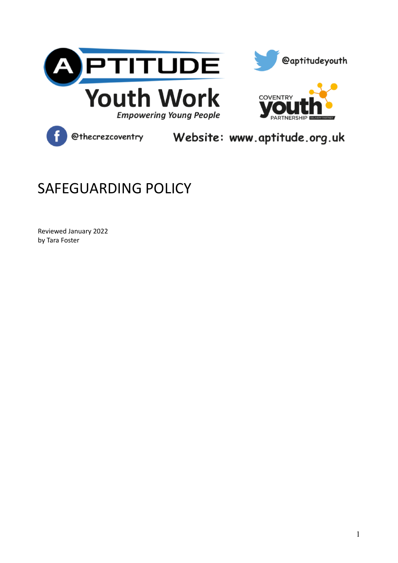





@thecrezcoventry Website: www.aptitude.org.uk

# SAFEGUARDING POLICY

Reviewed January 2022 by Tara Foster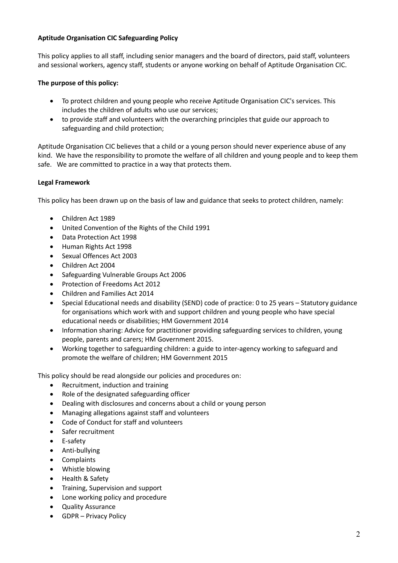## **Aptitude Organisation CIC Safeguarding Policy**

This policy applies to all staff, including senior managers and the board of directors, paid staff, volunteers and sessional workers, agency staff, students or anyone working on behalf of Aptitude Organisation CIC.

# **The purpose of this policy:**

- To protect children and young people who receive Aptitude Organisation CIC's services. This includes the children of adults who use our services;
- to provide staff and volunteers with the overarching principles that guide our approach to safeguarding and child protection;

Aptitude Organisation CIC believes that a child or a young person should never experience abuse of any kind. We have the responsibility to promote the welfare of all children and young people and to keep them safe. We are committed to practice in a way that protects them.

## **Legal Framework**

This policy has been drawn up on the basis of law and guidance that seeks to protect children, namely:

- Children Act 1989
- United Convention of the Rights of the Child 1991
- Data Protection Act 1998
- Human Rights Act 1998
- Sexual Offences Act 2003
- Children Act 2004
- Safeguarding Vulnerable Groups Act 2006
- Protection of Freedoms Act 2012
- Children and Families Act 2014
- Special Educational needs and disability (SEND) code of practice: 0 to 25 years Statutory guidance for organisations which work with and support children and young people who have special educational needs or disabilities; HM Government 2014
- Information sharing: Advice for practitioner providing safeguarding services to children, young people, parents and carers; HM Government 2015.
- Working together to safeguarding children: a guide to inter-agency working to safeguard and promote the welfare of children; HM Government 2015

This policy should be read alongside our policies and procedures on:

- Recruitment, induction and training
- Role of the designated safeguarding officer
- Dealing with disclosures and concerns about a child or young person
- Managing allegations against staff and volunteers
- Code of Conduct for staff and volunteers
- Safer recruitment
- E-safety
- Anti-bullying
- Complaints
- Whistle blowing
- Health & Safety
- Training, Supervision and support
- Lone working policy and procedure
- Quality Assurance
- GDPR Privacy Policy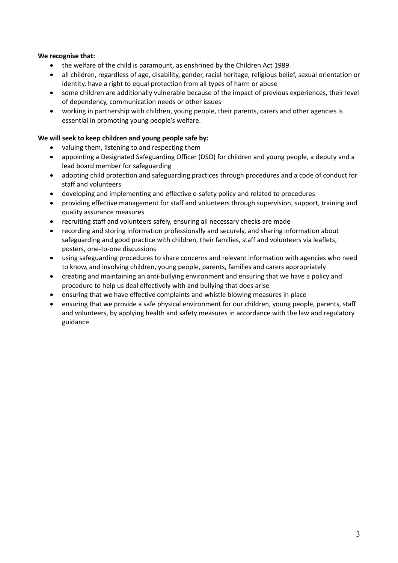## **We recognise that:**

- the welfare of the child is paramount, as enshrined by the Children Act 1989.
- all children, regardless of age, disability, gender, racial heritage, religious belief, sexual orientation or identity, have a right to equal protection from all types of harm or abuse
- some children are additionally vulnerable because of the impact of previous experiences, their level of dependency, communication needs or other issues
- working in partnership with children, young people, their parents, carers and other agencies is essential in promoting young people's welfare.

## **We will seek to keep children and young people safe by:**

- valuing them, listening to and respecting them
- appointing a Designated Safeguarding Officer (DSO) for children and young people, a deputy and a lead board member for safeguarding
- adopting child protection and safeguarding practices through procedures and a code of conduct for staff and volunteers
- developing and implementing and effective e-safety policy and related to procedures
- providing effective management for staff and volunteers through supervision, support, training and quality assurance measures
- recruiting staff and volunteers safely, ensuring all necessary checks are made
- recording and storing information professionally and securely, and sharing information about safeguarding and good practice with children, their families, staff and volunteers via leaflets, posters, one-to-one discussions
- using safeguarding procedures to share concerns and relevant information with agencies who need to know, and involving children, young people, parents, families and carers appropriately
- creating and maintaining an anti-bullying environment and ensuring that we have a policy and procedure to help us deal effectively with and bullying that does arise
- ensuring that we have effective complaints and whistle blowing measures in place
- ensuring that we provide a safe physical environment for our children, young people, parents, staff and volunteers, by applying health and safety measures in accordance with the law and regulatory guidance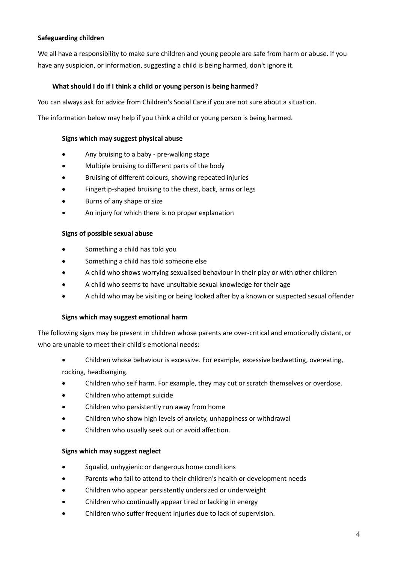## **Safeguarding children**

We all have a responsibility to make sure children and young people are safe from harm or abuse. If you have any suspicion, or information, suggesting a child is being harmed, don't ignore it.

## **What should I do if I think a child or young person is being harmed?**

You can always ask for advice from Children's Social Care if you are not sure about a situation.

The information below may help if you think a child or young person is being harmed.

## **Signs which may suggest physical abuse**

- Any bruising to a baby pre-walking stage
- Multiple bruising to different parts of the body
- Bruising of different colours, showing repeated injuries
- Fingertip-shaped bruising to the chest, back, arms or legs
- Burns of any shape or size
- An injury for which there is no proper explanation

## **Signs of possible sexual abuse**

- Something a child has told you
- Something a child has told someone else
- A child who shows worrying sexualised behaviour in their play or with other children
- A child who seems to have unsuitable sexual knowledge for their age
- A child who may be visiting or being looked after by a known or suspected sexual offender

## **Signs which may suggest emotional harm**

The following signs may be present in children whose parents are over-critical and emotionally distant, or who are unable to meet their child's emotional needs:

- Children whose behaviour is excessive. For example, excessive bedwetting, overeating, rocking, headbanging.
- Children who self harm. For example, they may cut or scratch themselves or overdose.
- Children who attempt suicide
- Children who persistently run away from home
- Children who show high levels of anxiety, unhappiness or withdrawal
- Children who usually seek out or avoid affection.

## **Signs which may suggest neglect**

- Squalid, unhygienic or dangerous home conditions
- Parents who fail to attend to their children's health or development needs
- Children who appear persistently undersized or underweight
- Children who continually appear tired or lacking in energy
- Children who suffer frequent injuries due to lack of supervision.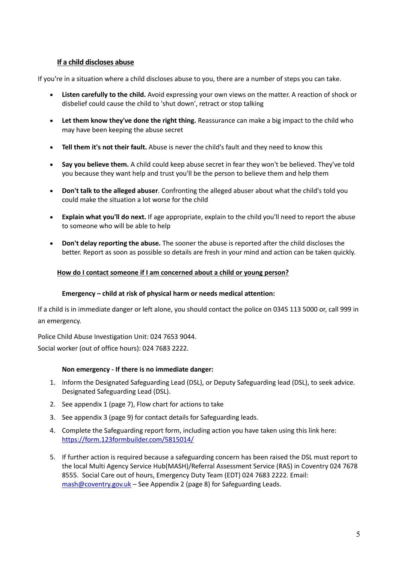## **If a child discloses abuse**

If you're in a situation where a child discloses abuse to you, there are a number of steps you can take.

- **Listen carefully to the child.** Avoid expressing your own views on the matter. A reaction of shock or disbelief could cause the child to 'shut down', retract or stop talking
- **Let them know they've done the right thing.** Reassurance can make a big impact to the child who may have been keeping the abuse secret
- **Tell them it's not their fault.** Abuse is never the child's fault and they need to know this
- **Say you believe them.** A child could keep abuse secret in fear they won't be believed. They've told you because they want help and trust you'll be the person to believe them and help them
- **Don't talk to the alleged abuser**. Confronting the alleged abuser about what the child's told you could make the situation a lot worse for the child
- **Explain what you'll do next.** If age appropriate, explain to the child you'll need to report the abuse to someone who will be able to help
- **Don't delay reporting the abuse.** The sooner the abuse is reported after the child discloses the better. Report as soon as possible so details are fresh in your mind and action can be taken quickly.

## **How do I contact someone if I am concerned about a child or young person?**

## **Emergency – child at risk of physical harm or needs medical attention:**

If a child is in immediate danger or left alone, you should contact the police on 0345 113 5000 or, call 999 in an emergency.

Police Child Abuse Investigation Unit: 024 7653 9044.

Social worker (out of office hours): 024 7683 2222.

## **Non emergency - If there is no immediate danger:**

- 1. Inform the Designated Safeguarding Lead (DSL), or Deputy Safeguarding lead (DSL), to seek advice. Designated Safeguarding Lead (DSL).
- 2. See appendix 1 (page 7), Flow chart for actions to take
- 3. See appendix 3 (page 9) for contact details for Safeguarding leads.
- 4. Complete the Safeguarding report form, including action you have taken using this link here: https://form.123formbuilder.com/5815014/
- 5. If further action is required because a safeguarding concern has been raised the DSL must report to the local Multi Agency Service Hub(MASH)/Referral Assessment Service (RAS) in Coventry 024 7678 8555. Social Care out of hours, Emergency Duty Team (EDT) 024 7683 2222. Email: mash@coventry.gov.uk – See Appendix 2 (page 8) for Safeguarding Leads.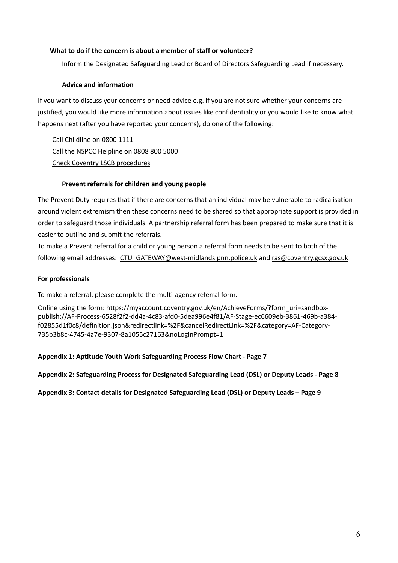## **What to do if the concern is about a member of staff or volunteer?**

Inform the Designated Safeguarding Lead or Board of Directors Safeguarding Lead if necessary.

## **Advice and information**

If you want to discuss your concerns or need advice e.g. if you are not sure whether your concerns are justified, you would like more information about issues like confidentiality or you would like to know what happens next (after you have reported your concerns), do one of the following:

Call Childline on 0800 1111 Call the NSPCC Helpline on 0808 800 5000 Check Coventry LSCB procedures

## **Prevent referrals for children and young people**

The Prevent Duty requires that if there are concerns that an individual may be vulnerable to radicalisation around violent extremism then these concerns need to be shared so that appropriate support is provided in order to safeguard those individuals. A partnership referral form has been prepared to make sure that it is easier to outline and submit the referrals.

To make a Prevent referral for a child or young person a referral form needs to be sent to both of the following email addresses: CTU\_GATEWAY@west-midlands.pnn.police.uk and ras@coventry.gcsx.gov.uk

## **For professionals**

To make a referral, please complete the multi-agency referral form.

Online using the form: https://myaccount.coventry.gov.uk/en/AchieveForms/?form\_uri=sandboxpublish://AF-Process-6528f2f2-dd4a-4c83-afd0-5dea996e4f81/AF-Stage-ec6609eb-3861-469b-a384 f02855d1f0c8/definition.json&redirectlink=%2F&cancelRedirectLink=%2F&category=AF-Category-735b3b8c-4745-4a7e-9307-8a1055c27163&noLoginPrompt=1

## **Appendix 1: Aptitude Youth Work Safeguarding Process Flow Chart - Page 7**

**Appendix 2: Safeguarding Process for Designated Safeguarding Lead (DSL) or Deputy Leads - Page 8**

**Appendix 3: Contact details for Designated Safeguarding Lead (DSL) or Deputy Leads – Page 9**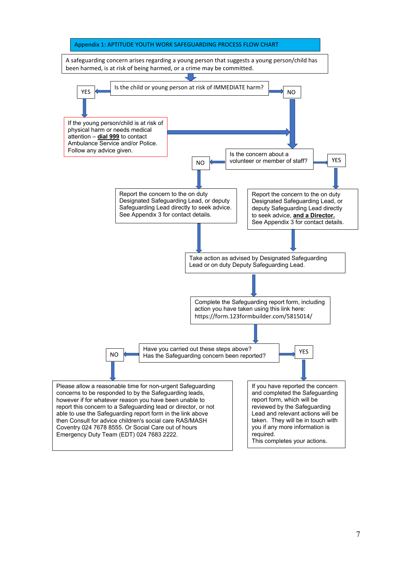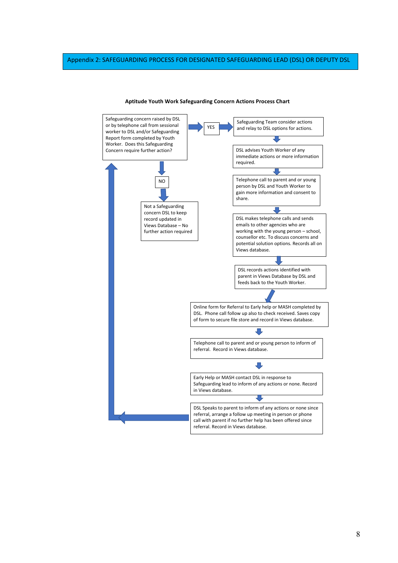#### Appendix 2: SAFEGUARDING PROCESS FOR DESIGNATED SAFEGUARDING LEAD (DSL) OR DEPUTY DSL



#### **Aptitude Youth Work Safeguarding Concern Actions Process Chart**